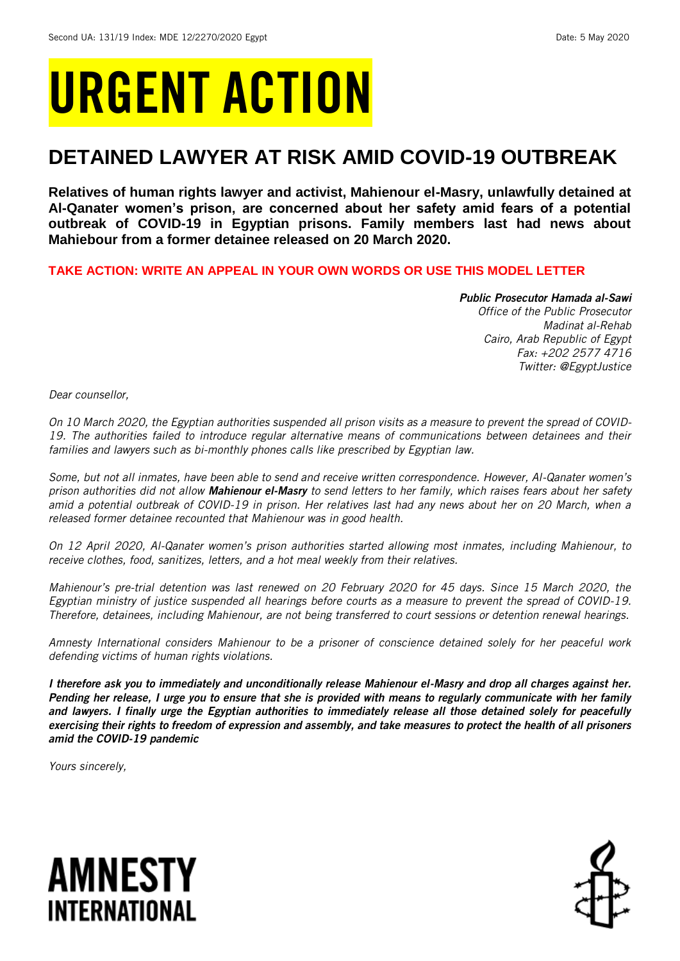# URGENT ACTION

## **DETAINED LAWYER AT RISK AMID COVID-19 OUTBREAK**

**Relatives of human rights lawyer and activist, Mahienour el-Masry, unlawfully detained at Al-Qanater women's prison, are concerned about her safety amid fears of a potential outbreak of COVID-19 in Egyptian prisons. Family members last had news about Mahiebour from a former detainee released on 20 March 2020.** 

**TAKE ACTION: WRITE AN APPEAL IN YOUR OWN WORDS OR USE THIS MODEL LETTER**

#### *Public Prosecutor Hamada al-Sawi Office of the Public Prosecutor Madinat al-Rehab Cairo, Arab Republic of Egypt Fax: +202 2577 4716 Twitter: @EgyptJustice*

*Dear counsellor,*

*On 10 March 2020, the Egyptian authorities suspended all prison visits as a measure to prevent the spread of COVID-19. The authorities failed to introduce regular alternative means of communications between detainees and their families and lawyers such as bi-monthly phones calls like prescribed by Egyptian law.* 

*Some, but not all inmates, have been able to send and receive written correspondence. However, Al-Qanater women's prison authorities did not allow Mahienour el-Masry to send letters to her family, which raises fears about her safety amid a potential outbreak of COVID-19 in prison. Her relatives last had any news about her on 20 March, when a released former detainee recounted that Mahienour was in good health.*

*On 12 April 2020, Al-Qanater women's prison authorities started allowing most inmates, including Mahienour, to receive clothes, food, sanitizes, letters, and a hot meal weekly from their relatives.* 

*Mahienour's pre-trial detention was last renewed on 20 February 2020 for 45 days. Since 15 March 2020, the Egyptian ministry of justice suspended all hearings before courts as a measure to prevent the spread of COVID-19. Therefore, detainees, including Mahienour, are not being transferred to court sessions or detention renewal hearings.*

*Amnesty International considers Mahienour to be a prisoner of conscience detained solely for her peaceful work defending victims of human rights violations.* 

*I therefore ask you to immediately and unconditionally release Mahienour el-Masry and drop all charges against her. Pending her release, I urge you to ensure that she is provided with means to regularly communicate with her family and lawyers. I finally urge the Egyptian authorities to immediately release all those detained solely for peacefully exercising their rights to freedom of expression and assembly, and take measures to protect the health of all prisoners amid the COVID-19 pandemic*

*Yours sincerely,*